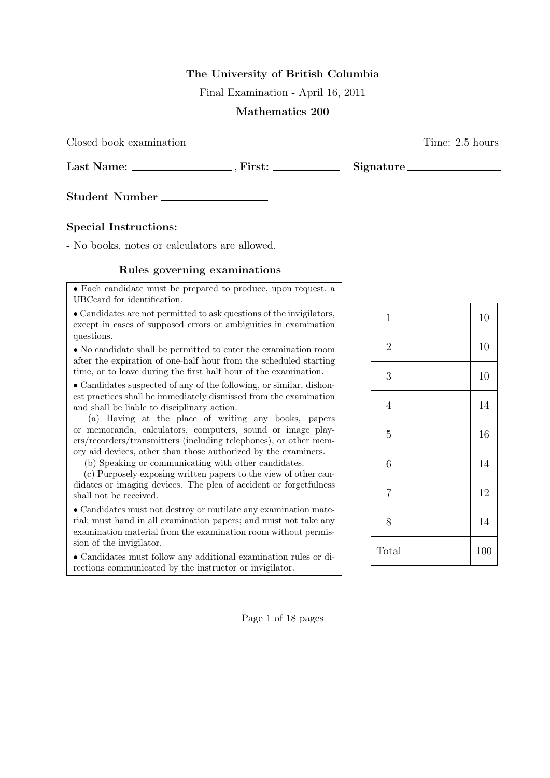## The University of British Columbia

Final Examination - April 16, 2011

## Mathematics 200

Closed book examination **Time:** 2.5 hours

Last Name: , First: Signature

Student Number

## Special Instructions:

- No books, notes or calculators are allowed.

## Rules governing examinations

• Each candidate must be prepared to produce, upon request, a UBCcard for identification.

• Candidates are not permitted to ask questions of the invigilators, except in cases of supposed errors or ambiguities in examination questions.

• No candidate shall be permitted to enter the examination room after the expiration of one-half hour from the scheduled starting time, or to leave during the first half hour of the examination.

• Candidates suspected of any of the following, or similar, dishonest practices shall be immediately dismissed from the examination and shall be liable to disciplinary action.

(a) Having at the place of writing any books, papers or memoranda, calculators, computers, sound or image players/recorders/transmitters (including telephones), or other memory aid devices, other than those authorized by the examiners.

(b) Speaking or communicating with other candidates.

(c) Purposely exposing written papers to the view of other candidates or imaging devices. The plea of accident or forgetfulness shall not be received.

• Candidates must not destroy or mutilate any examination material; must hand in all examination papers; and must not take any examination material from the examination room without permission of the invigilator.

• Candidates must follow any additional examination rules or directions communicated by the instructor or invigilator.

| $\mathbf{1}$     | 10  |
|------------------|-----|
| $\sqrt{2}$       | 10  |
| 3                | 10  |
| $\overline{4}$   | 14  |
| $\overline{5}$   | 16  |
| $\boldsymbol{6}$ | 14  |
| $\overline{7}$   | 12  |
| 8                | 14  |
| Total            | 100 |

Page 1 of 18 pages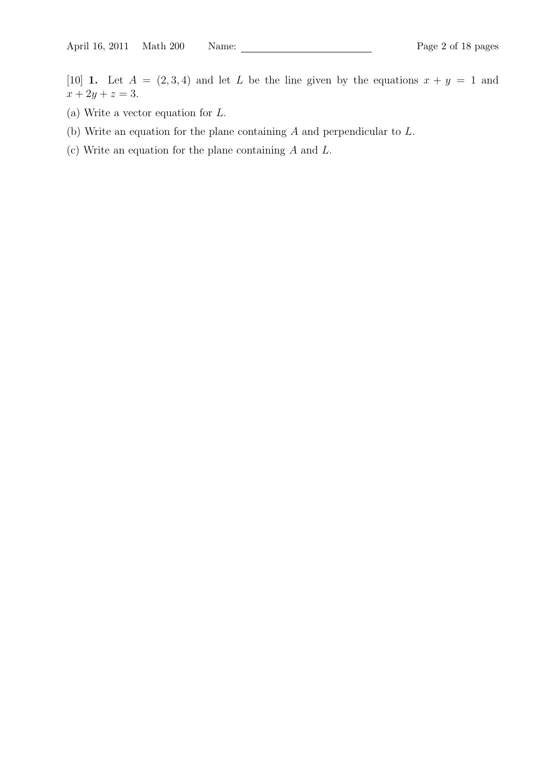[10] 1. Let  $A = (2,3,4)$  and let L be the line given by the equations  $x + y = 1$  and  $x + 2y + z = 3.$ 

- (a) Write a vector equation for L.
- (b) Write an equation for the plane containing A and perpendicular to L.
- (c) Write an equation for the plane containing A and L.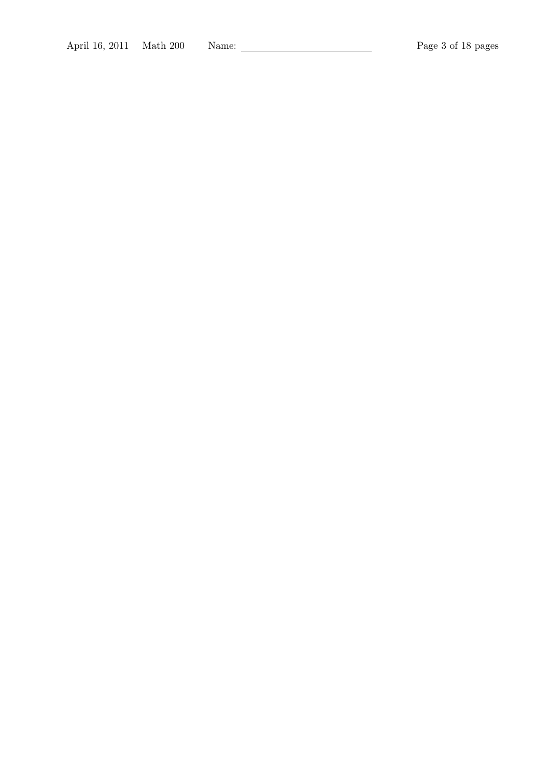April 16, 2011 Math 200 Name: Page 3 of 18 pages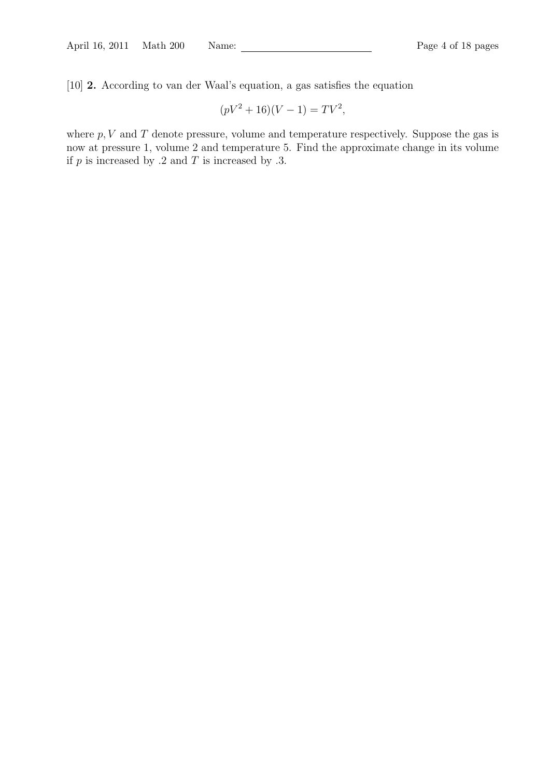[10] 2. According to van der Waal's equation, a gas satisfies the equation

$$
(pV^2 + 16)(V - 1) = TV^2,
$$

where  $p, V$  and  $T$  denote pressure, volume and temperature respectively. Suppose the gas is now at pressure 1, volume 2 and temperature 5. Find the approximate change in its volume if  $p$  is increased by .2 and  $T$  is increased by .3.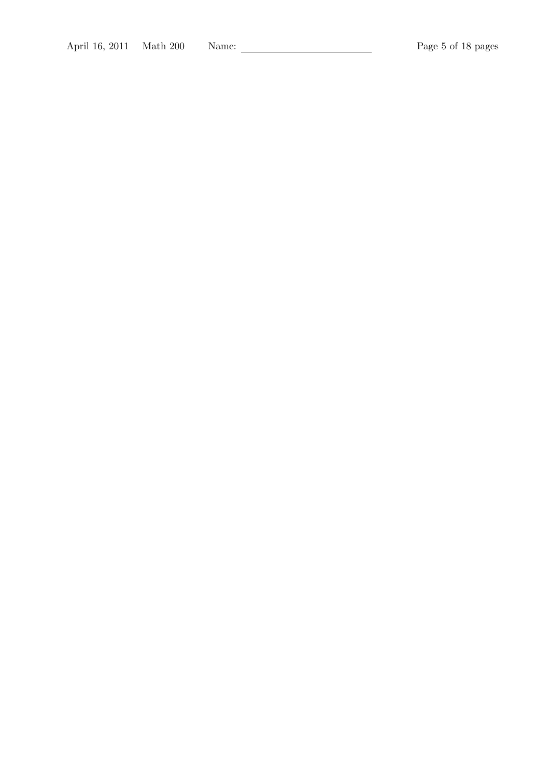April 16, 2011 Math 200 Name: Page 5 of 18 pages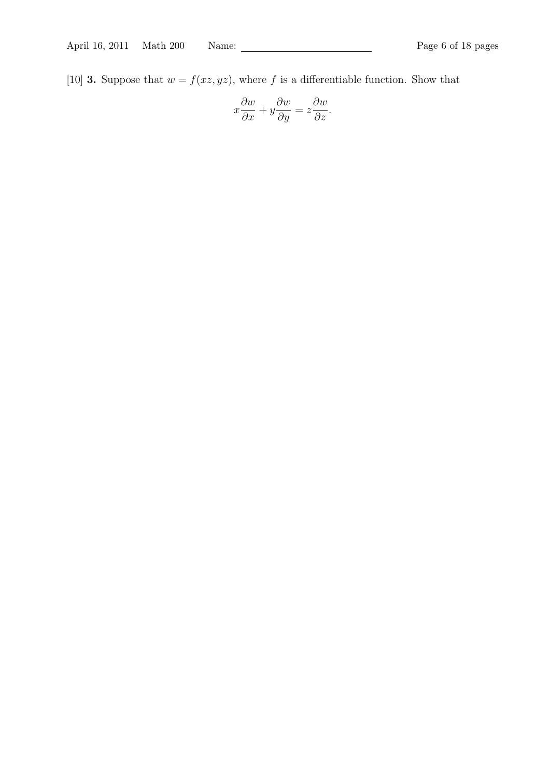[10] **3.** Suppose that  $w = f(xz, yz)$ , where f is a differentiable function. Show that

$$
x\frac{\partial w}{\partial x} + y\frac{\partial w}{\partial y} = z\frac{\partial w}{\partial z}.
$$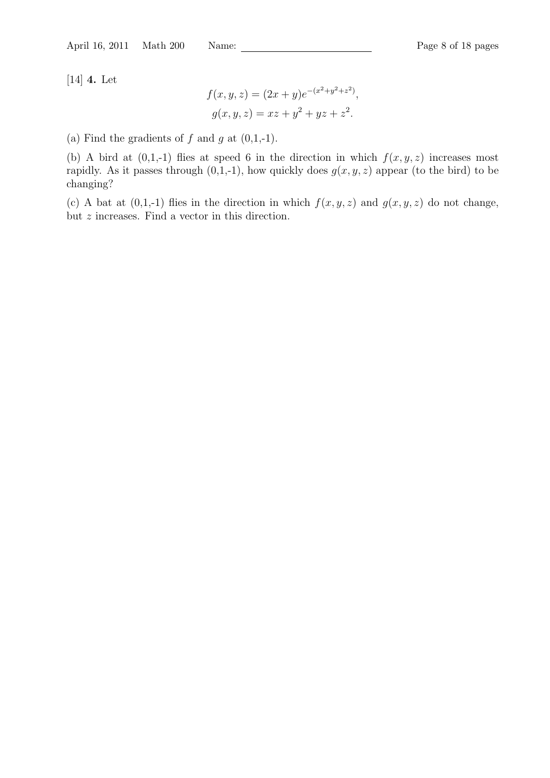[14] 4. Let

$$
f(x, y, z) = (2x + y)e^{-(x^2 + y^2 + z^2)},
$$
  

$$
g(x, y, z) = xz + y^2 + yz + z^2.
$$

(a) Find the gradients of  $f$  and  $g$  at  $(0,1,-1)$ .

(b) A bird at  $(0,1,-1)$  flies at speed 6 in the direction in which  $f(x, y, z)$  increases most rapidly. As it passes through  $(0,1,-1)$ , how quickly does  $g(x, y, z)$  appear (to the bird) to be changing?

(c) A bat at  $(0,1,-1)$  flies in the direction in which  $f(x, y, z)$  and  $g(x, y, z)$  do not change, but z increases. Find a vector in this direction.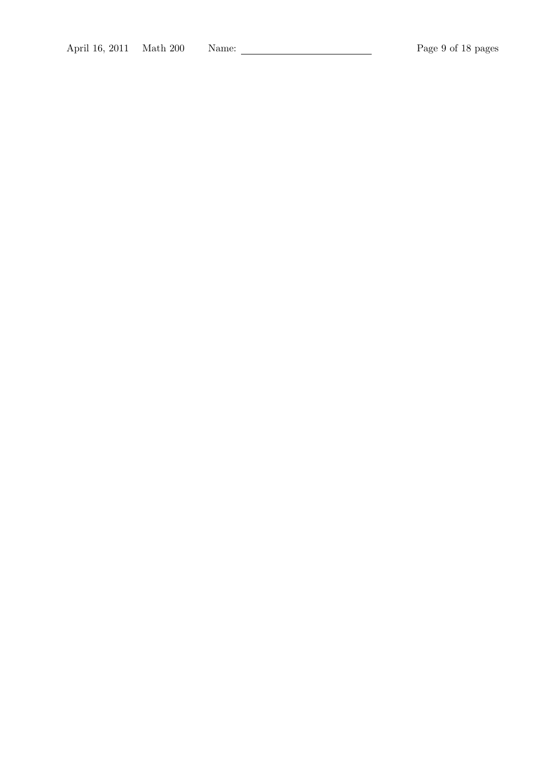April 16, 2011 Math 200 Name: Page 9 of 18 pages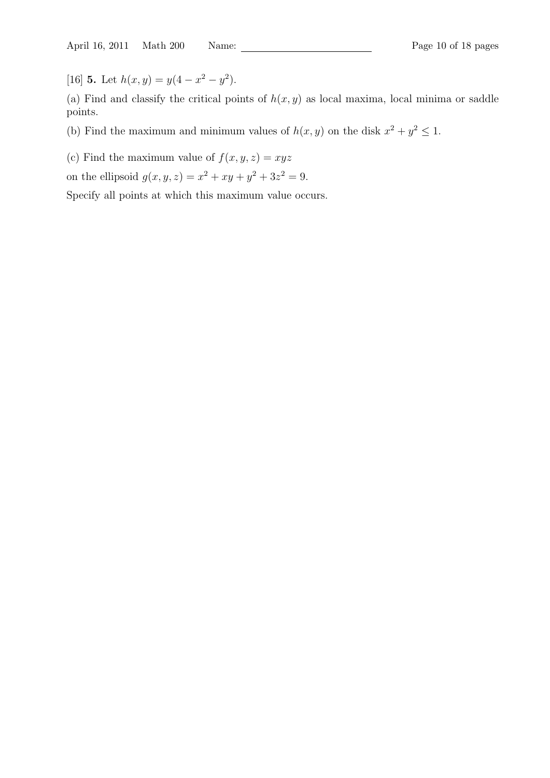[16] **5.** Let  $h(x, y) = y(4 - x^2 - y^2)$ .

(a) Find and classify the critical points of  $h(x, y)$  as local maxima, local minima or saddle points.

(b) Find the maximum and minimum values of  $h(x, y)$  on the disk  $x^2 + y^2 \leq 1$ .

(c) Find the maximum value of  $f(x, y, z) = xyz$ 

on the ellipsoid  $g(x, y, z) = x^2 + xy + y^2 + 3z^2 = 9$ .

Specify all points at which this maximum value occurs.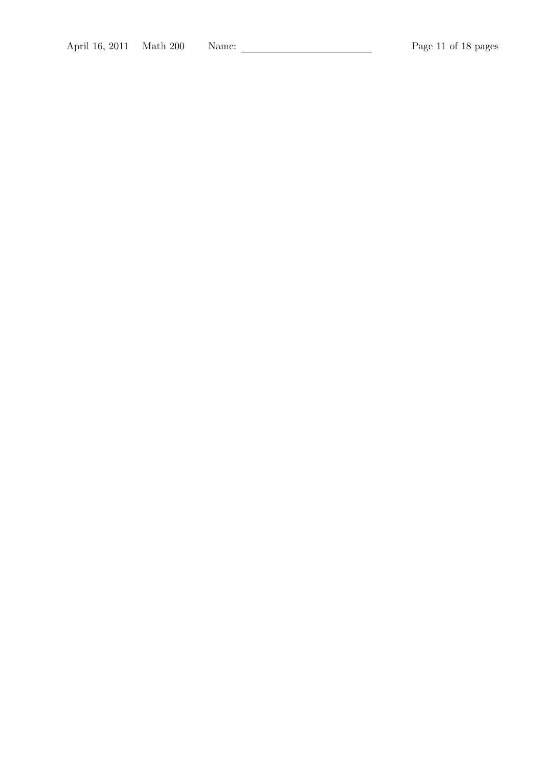April 16, 2011 Math 200 Name: Page 11 of 18 pages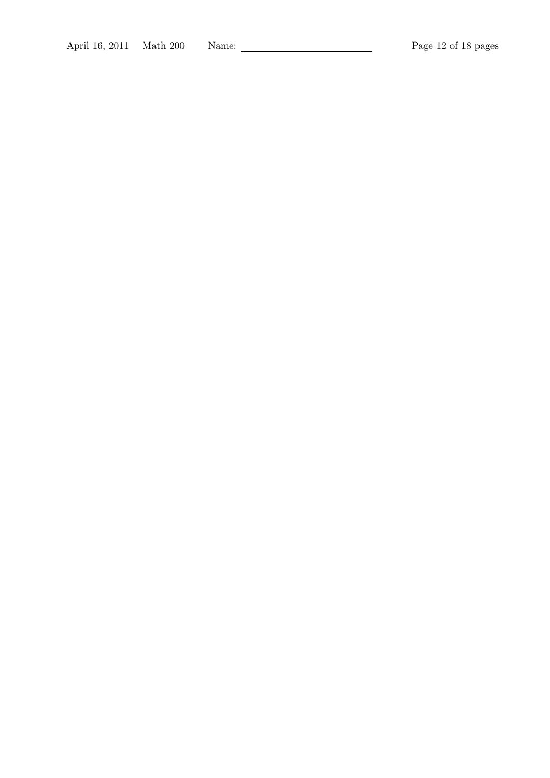April 16, 2011 Math 200 Name: Page 12 of 18 pages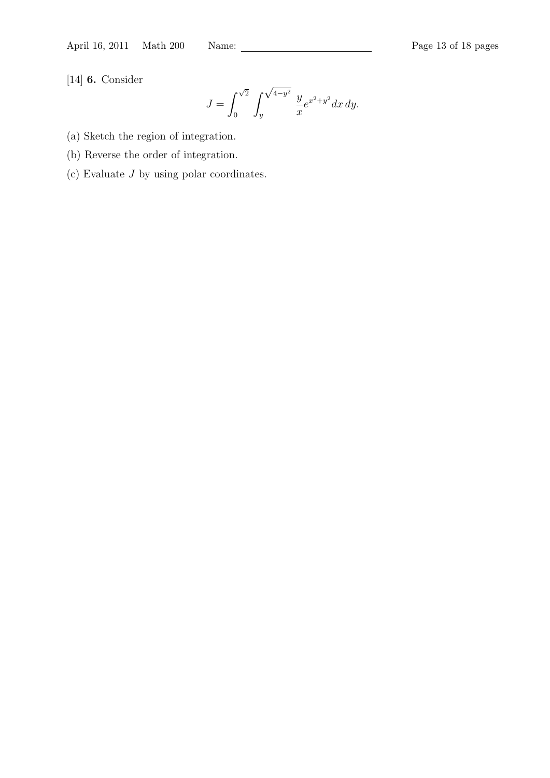[14] 6. Consider

$$
J = \int_0^{\sqrt{2}} \int_y^{\sqrt{4-y^2}} \frac{y}{x} e^{x^2 + y^2} dx dy.
$$

- (a) Sketch the region of integration.
- (b) Reverse the order of integration.
- $(c)$  Evaluate  $J$  by using polar coordinates.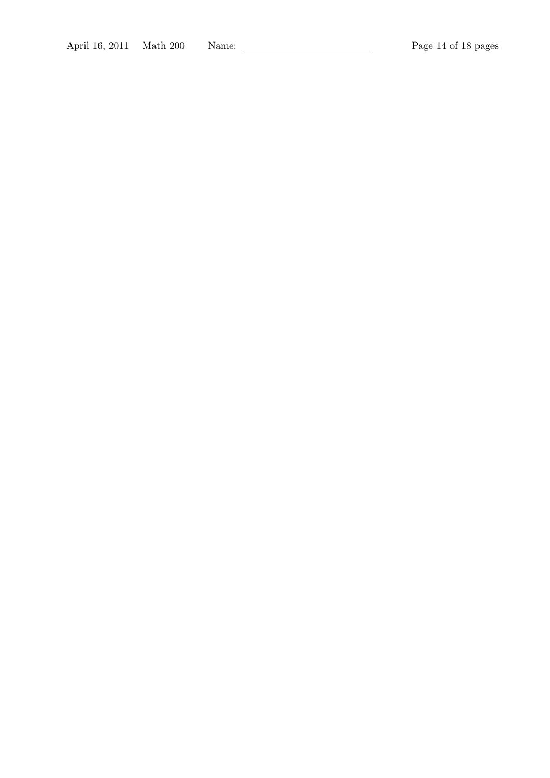April 16, 2011 Math 200 Name: Page 14 of 18 pages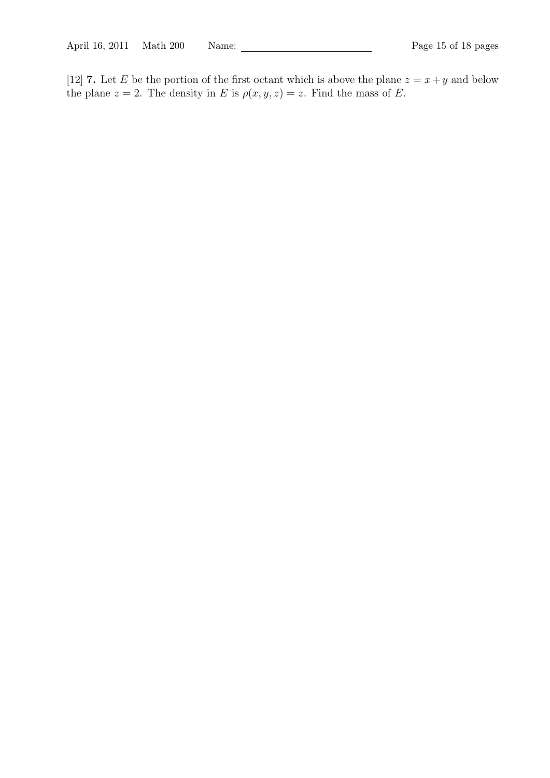[12] 7. Let E be the portion of the first octant which is above the plane  $z = x + y$  and below the plane  $z = 2$ . The density in E is  $\rho(x, y, z) = z$ . Find the mass of E.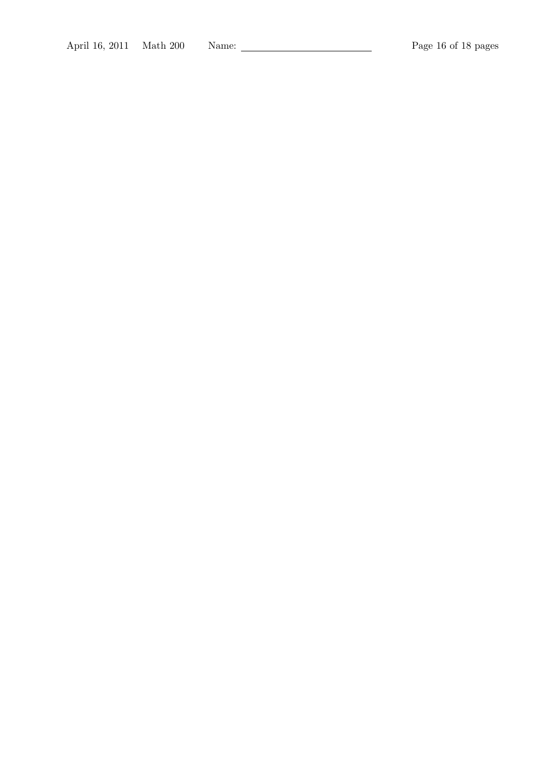April 16, 2011 Math 200 Name: Page 16 of 18 pages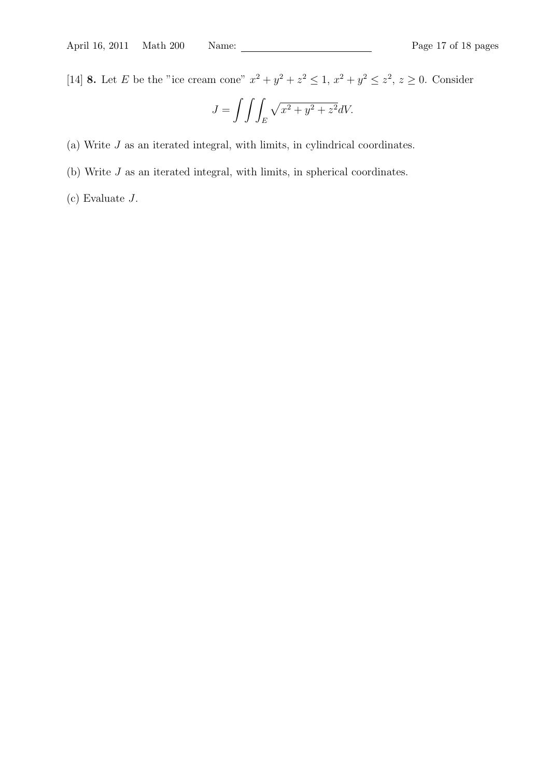[14] **8.** Let *E* be the "ice cream cone"  $x^2 + y^2 + z^2 \le 1$ ,  $x^2 + y^2 \le z^2$ ,  $z \ge 0$ . Consider

$$
J = \int \int \int_E \sqrt{x^2 + y^2 + z^2} dV.
$$

(a) Write  $J$  as an iterated integral, with limits, in cylindrical coordinates.

(b) Write J as an iterated integral, with limits, in spherical coordinates.

(c) Evaluate J.